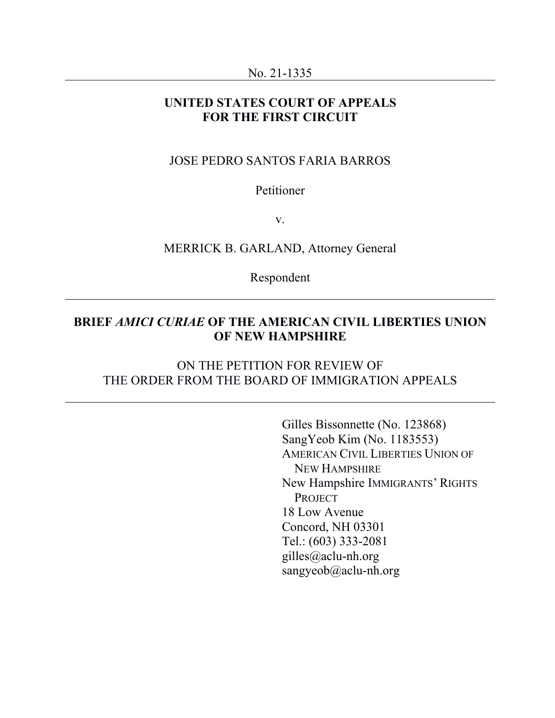#### No. 21-1335

# **UNITED STATES COURT OF APPEALS FOR THE FIRST CIRCUIT**

# JOSE PEDRO SANTOS FARIA BARROS

# Petitioner

v.

## MERRICK B. GARLAND, Attorney General

Respondent

# **BRIEF** *AMICI CURIAE* **OF THE AMERICAN CIVIL LIBERTIES UNION OF NEW HAMPSHIRE**

# ON THE PETITION FOR REVIEW OF THE ORDER FROM THE BOARD OF IMMIGRATION APPEALS

Gilles Bissonnette (No. 123868) SangYeob Kim (No. 1183553) AMERICAN CIVIL LIBERTIES UNION OF NEW HAMPSHIRE New Hampshire IMMIGRANTS' RIGHTS **PROJECT** 18 Low Avenue Concord, NH 03301 Tel.: (603) 333-2081 gilles@aclu-nh.org sangyeob@aclu-nh.org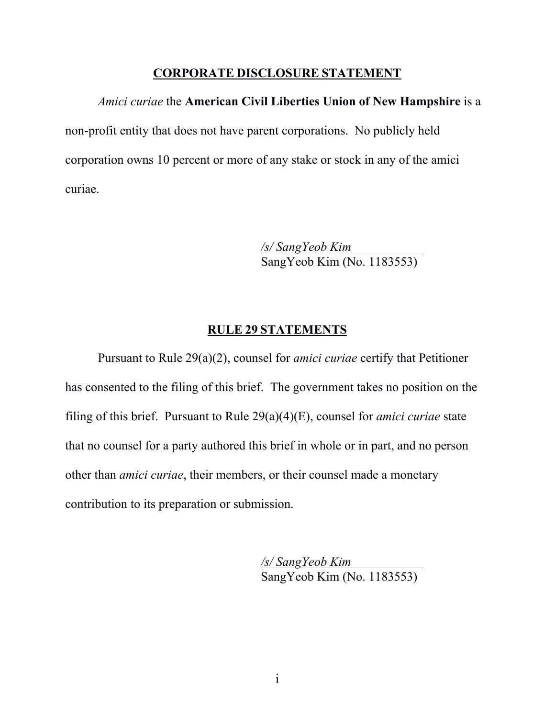# **CORPORATE DISCLOSURE STATEMENT**

# *Amici curiae* the **American Civil Liberties Union of New Hampshire** is a non-profit entity that does not have parent corporations. No publicly held corporation owns 10 percent or more of any stake or stock in any of the amici curiae.

*/s/ SangYeob Kim*  SangYeob Kim (No. 1183553)

# **RULE 29 STATEMENTS**

Pursuant to Rule 29(a)(2), counsel for *amici curiae* certify that Petitioner has consented to the filing of this brief. The government takes no position on the filing of this brief. Pursuant to Rule 29(a)(4)(E), counsel for *amici curiae* state that no counsel for a party authored this brief in whole or in part, and no person other than *amici curiae*, their members, or their counsel made a monetary contribution to its preparation or submission.

> */s/ SangYeob Kim*  SangYeob Kim (No. 1183553)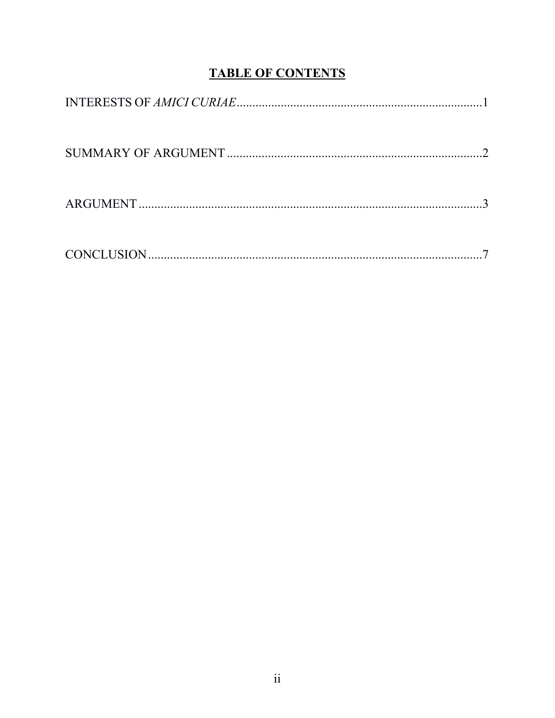# **TABLE OF CONTENTS**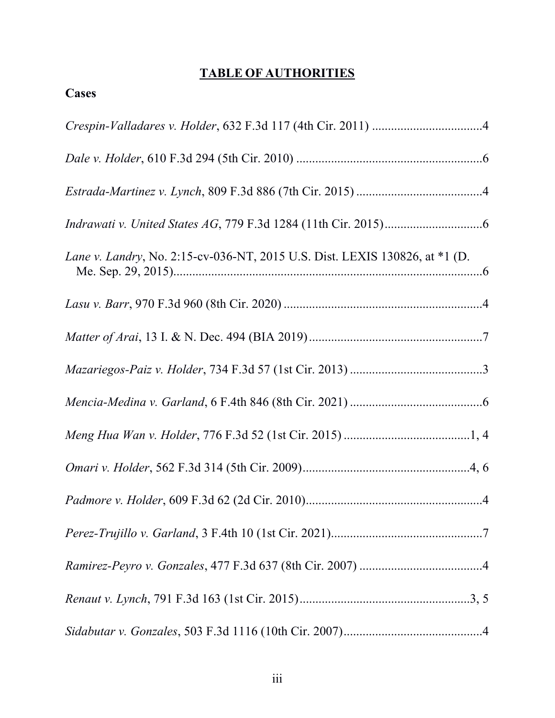# **TABLE OF AUTHORITIES**

| <b>Cases</b>                                                                |
|-----------------------------------------------------------------------------|
|                                                                             |
|                                                                             |
|                                                                             |
|                                                                             |
| Lane v. Landry, No. 2:15-cv-036-NT, 2015 U.S. Dist. LEXIS 130826, at *1 (D. |
|                                                                             |
|                                                                             |
|                                                                             |
|                                                                             |
|                                                                             |
|                                                                             |
|                                                                             |
|                                                                             |
|                                                                             |
|                                                                             |
|                                                                             |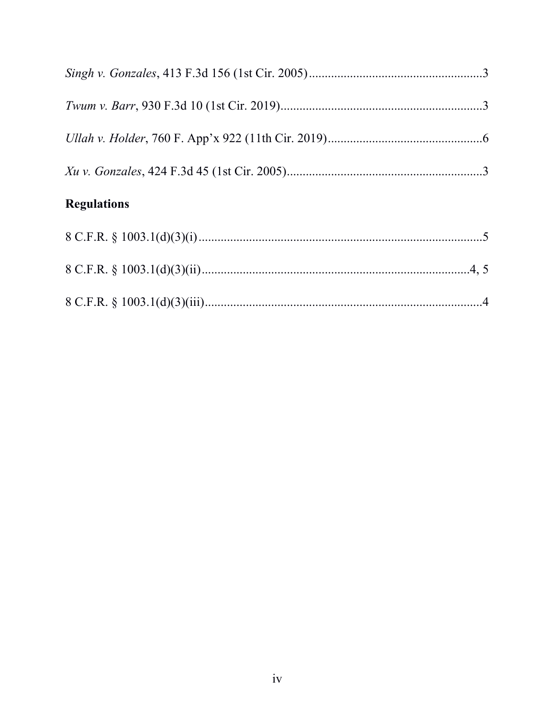# **Regulations**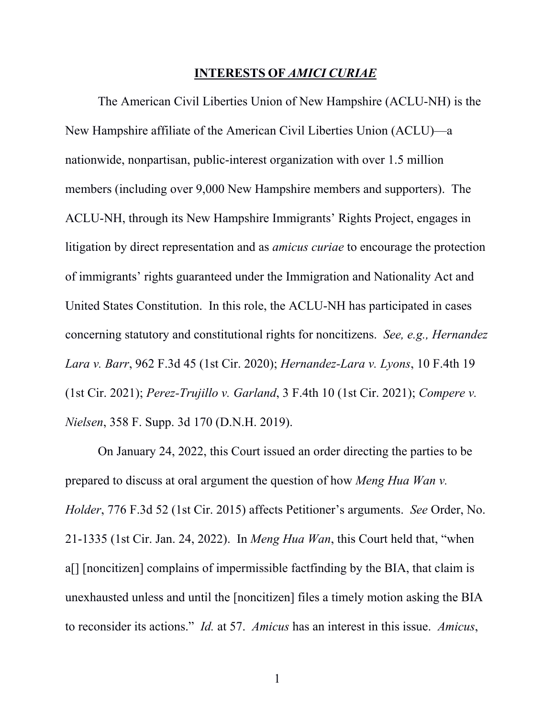#### **INTERESTS OF** *AMICI CURIAE*

The American Civil Liberties Union of New Hampshire (ACLU-NH) is the New Hampshire affiliate of the American Civil Liberties Union (ACLU)—a nationwide, nonpartisan, public-interest organization with over 1.5 million members (including over 9,000 New Hampshire members and supporters). The ACLU-NH, through its New Hampshire Immigrants' Rights Project, engages in litigation by direct representation and as *amicus curiae* to encourage the protection of immigrants' rights guaranteed under the Immigration and Nationality Act and United States Constitution. In this role, the ACLU-NH has participated in cases concerning statutory and constitutional rights for noncitizens. *See, e.g., Hernandez Lara v. Barr*, 962 F.3d 45 (1st Cir. 2020); *Hernandez-Lara v. Lyons*, 10 F.4th 19 (1st Cir. 2021); *Perez-Trujillo v. Garland*, 3 F.4th 10 (1st Cir. 2021); *Compere v. Nielsen*, 358 F. Supp. 3d 170 (D.N.H. 2019).

On January 24, 2022, this Court issued an order directing the parties to be prepared to discuss at oral argument the question of how *Meng Hua Wan v. Holder*, 776 F.3d 52 (1st Cir. 2015) affects Petitioner's arguments. *See* Order, No. 21-1335 (1st Cir. Jan. 24, 2022). In *Meng Hua Wan*, this Court held that, "when a[] [noncitizen] complains of impermissible factfinding by the BIA, that claim is unexhausted unless and until the [noncitizen] files a timely motion asking the BIA to reconsider its actions." *Id.* at 57. *Amicus* has an interest in this issue. *Amicus*,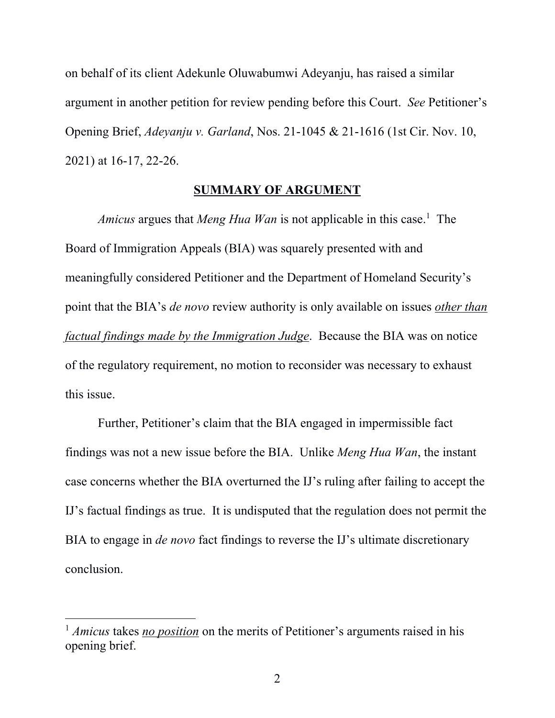on behalf of its client Adekunle Oluwabumwi Adeyanju, has raised a similar argument in another petition for review pending before this Court. *See* Petitioner's Opening Brief, *Adeyanju v. Garland*, Nos. 21-1045 & 21-1616 (1st Cir. Nov. 10, 2021) at 16-17, 22-26.

#### **SUMMARY OF ARGUMENT**

Amicus argues that *Meng Hua Wan* is not applicable in this case.<sup>1</sup> The Board of Immigration Appeals (BIA) was squarely presented with and meaningfully considered Petitioner and the Department of Homeland Security's point that the BIA's *de novo* review authority is only available on issues *other than factual findings made by the Immigration Judge*. Because the BIA was on notice of the regulatory requirement, no motion to reconsider was necessary to exhaust this issue.

Further, Petitioner's claim that the BIA engaged in impermissible fact findings was not a new issue before the BIA. Unlike *Meng Hua Wan*, the instant case concerns whether the BIA overturned the IJ's ruling after failing to accept the IJ's factual findings as true. It is undisputed that the regulation does not permit the BIA to engage in *de novo* fact findings to reverse the IJ's ultimate discretionary conclusion.

<sup>&</sup>lt;sup>1</sup> *Amicus* takes *no position* on the merits of Petitioner's arguments raised in his opening brief.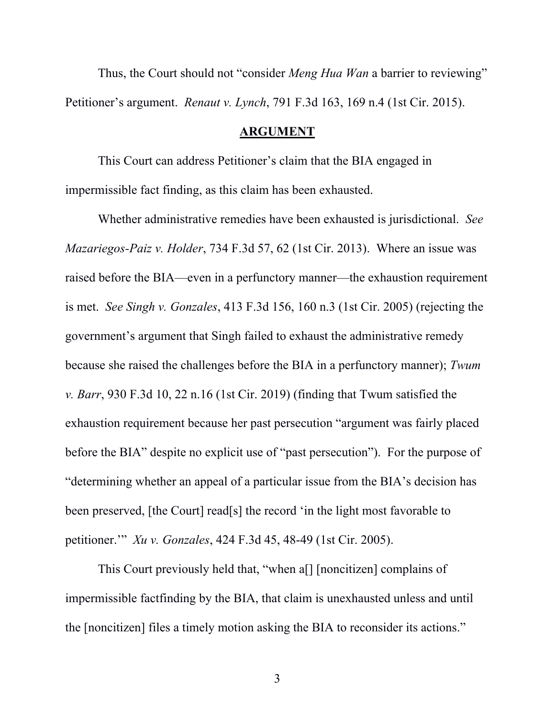Thus, the Court should not "consider *Meng Hua Wan* a barrier to reviewing" Petitioner's argument. *Renaut v. Lynch*, 791 F.3d 163, 169 n.4 (1st Cir. 2015).

# **ARGUMENT**

This Court can address Petitioner's claim that the BIA engaged in impermissible fact finding, as this claim has been exhausted.

Whether administrative remedies have been exhausted is jurisdictional. *See Mazariegos-Paiz v. Holder*, 734 F.3d 57, 62 (1st Cir. 2013). Where an issue was raised before the BIA—even in a perfunctory manner—the exhaustion requirement is met. *See Singh v. Gonzales*, 413 F.3d 156, 160 n.3 (1st Cir. 2005) (rejecting the government's argument that Singh failed to exhaust the administrative remedy because she raised the challenges before the BIA in a perfunctory manner); *Twum v. Barr*, 930 F.3d 10, 22 n.16 (1st Cir. 2019) (finding that Twum satisfied the exhaustion requirement because her past persecution "argument was fairly placed before the BIA" despite no explicit use of "past persecution"). For the purpose of "determining whether an appeal of a particular issue from the BIA's decision has been preserved, [the Court] read[s] the record 'in the light most favorable to petitioner.'" *Xu v. Gonzales*, 424 F.3d 45, 48-49 (1st Cir. 2005).

This Court previously held that, "when a[] [noncitizen] complains of impermissible factfinding by the BIA, that claim is unexhausted unless and until the [noncitizen] files a timely motion asking the BIA to reconsider its actions."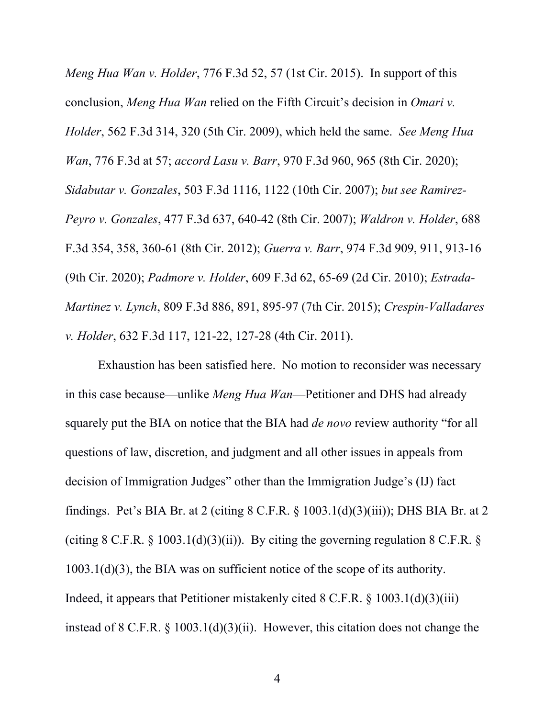*Meng Hua Wan v. Holder*, 776 F.3d 52, 57 (1st Cir. 2015). In support of this conclusion, *Meng Hua Wan* relied on the Fifth Circuit's decision in *Omari v. Holder*, 562 F.3d 314, 320 (5th Cir. 2009), which held the same. *See Meng Hua Wan*, 776 F.3d at 57; *accord Lasu v. Barr*, 970 F.3d 960, 965 (8th Cir. 2020); *Sidabutar v. Gonzales*, 503 F.3d 1116, 1122 (10th Cir. 2007); *but see Ramirez-Peyro v. Gonzales*, 477 F.3d 637, 640-42 (8th Cir. 2007); *Waldron v. Holder*, 688 F.3d 354, 358, 360-61 (8th Cir. 2012); *Guerra v. Barr*, 974 F.3d 909, 911, 913-16 (9th Cir. 2020); *Padmore v. Holder*, 609 F.3d 62, 65-69 (2d Cir. 2010); *Estrada-Martinez v. Lynch*, 809 F.3d 886, 891, 895-97 (7th Cir. 2015); *Crespin-Valladares v. Holder*, 632 F.3d 117, 121-22, 127-28 (4th Cir. 2011).

Exhaustion has been satisfied here. No motion to reconsider was necessary in this case because—unlike *Meng Hua Wan*—Petitioner and DHS had already squarely put the BIA on notice that the BIA had *de novo* review authority "for all questions of law, discretion, and judgment and all other issues in appeals from decision of Immigration Judges" other than the Immigration Judge's (IJ) fact findings. Pet's BIA Br. at 2 (citing  $8 \text{ C.F.R.}$ ,  $\frac{1003.1 \text{ (d)}(3) \text{ (iii)}}{3}$ ); DHS BIA Br. at 2 (citing 8 C.F.R.  $\S$  1003.1(d)(3)(ii)). By citing the governing regulation 8 C.F.R.  $\S$ 1003.1(d)(3), the BIA was on sufficient notice of the scope of its authority. Indeed, it appears that Petitioner mistakenly cited 8 C.F.R. § 1003.1(d)(3)(iii) instead of 8 C.F.R. § 1003.1(d)(3)(ii). However, this citation does not change the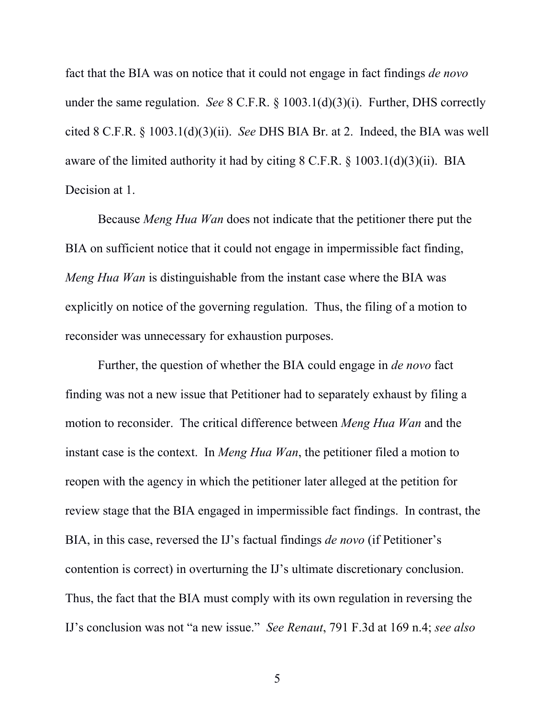fact that the BIA was on notice that it could not engage in fact findings *de novo*  under the same regulation. *See* 8 C.F.R. § 1003.1(d)(3)(i). Further, DHS correctly cited 8 C.F.R. § 1003.1(d)(3)(ii). *See* DHS BIA Br. at 2. Indeed, the BIA was well aware of the limited authority it had by citing  $8$  C.F.R.  $\S$  1003.1(d)(3)(ii). BIA Decision at 1.

Because *Meng Hua Wan* does not indicate that the petitioner there put the BIA on sufficient notice that it could not engage in impermissible fact finding, *Meng Hua Wan* is distinguishable from the instant case where the BIA was explicitly on notice of the governing regulation. Thus, the filing of a motion to reconsider was unnecessary for exhaustion purposes.

Further, the question of whether the BIA could engage in *de novo* fact finding was not a new issue that Petitioner had to separately exhaust by filing a motion to reconsider. The critical difference between *Meng Hua Wan* and the instant case is the context. In *Meng Hua Wan*, the petitioner filed a motion to reopen with the agency in which the petitioner later alleged at the petition for review stage that the BIA engaged in impermissible fact findings. In contrast, the BIA, in this case, reversed the IJ's factual findings *de novo* (if Petitioner's contention is correct) in overturning the IJ's ultimate discretionary conclusion. Thus, the fact that the BIA must comply with its own regulation in reversing the IJ's conclusion was not "a new issue." *See Renaut*, 791 F.3d at 169 n.4; *see also*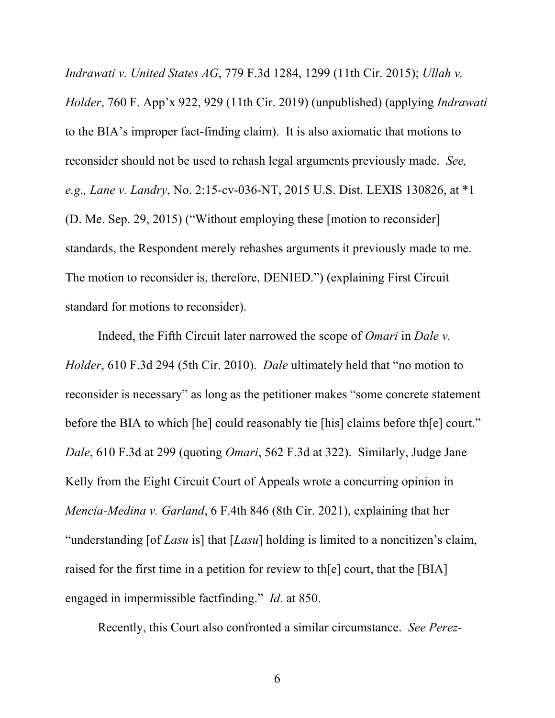*Indrawati v. United States AG*, 779 F.3d 1284, 1299 (11th Cir. 2015); *Ullah v. Holder*, 760 F. App'x 922, 929 (11th Cir. 2019) (unpublished) (applying *Indrawati*  to the BIA's improper fact-finding claim). It is also axiomatic that motions to reconsider should not be used to rehash legal arguments previously made. *See, e.g., Lane v. Landry*, No. 2:15-cv-036-NT, 2015 U.S. Dist. LEXIS 130826, at \*1 (D. Me. Sep. 29, 2015) ("Without employing these [motion to reconsider] standards, the Respondent merely rehashes arguments it previously made to me. The motion to reconsider is, therefore, DENIED.") (explaining First Circuit standard for motions to reconsider).

Indeed, the Fifth Circuit later narrowed the scope of *Omari* in *Dale v. Holder*, 610 F.3d 294 (5th Cir. 2010). *Dale* ultimately held that "no motion to reconsider is necessary" as long as the petitioner makes "some concrete statement before the BIA to which [he] could reasonably tie [his] claims before th[e] court." *Dale*, 610 F.3d at 299 (quoting *Omari*, 562 F.3d at 322). Similarly, Judge Jane Kelly from the Eight Circuit Court of Appeals wrote a concurring opinion in *Mencia-Medina v. Garland*, 6 F.4th 846 (8th Cir. 2021), explaining that her "understanding [of *Lasu* is] that [*Lasu*] holding is limited to a noncitizen's claim, raised for the first time in a petition for review to th[e] court, that the [BIA] engaged in impermissible factfinding." *Id*. at 850.

Recently, this Court also confronted a similar circumstance. *See Perez-*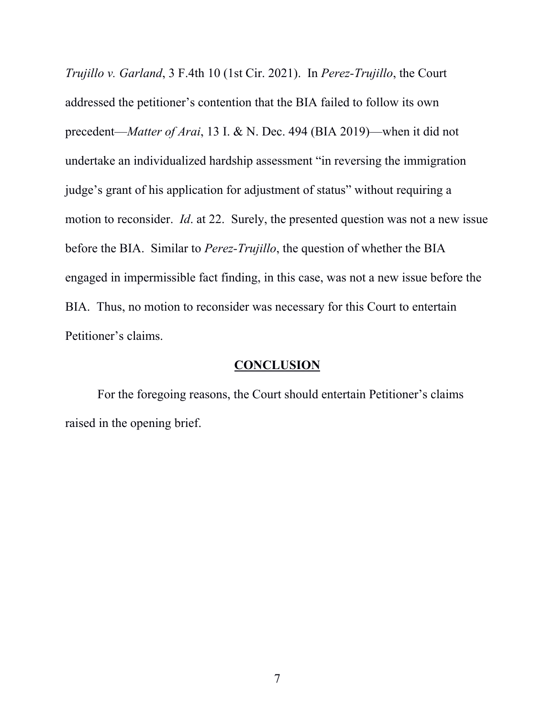*Trujillo v. Garland*, 3 F.4th 10 (1st Cir. 2021). In *Perez-Trujillo*, the Court addressed the petitioner's contention that the BIA failed to follow its own precedent—*Matter of Arai*, 13 I. & N. Dec. 494 (BIA 2019)—when it did not undertake an individualized hardship assessment "in reversing the immigration judge's grant of his application for adjustment of status" without requiring a motion to reconsider. *Id*. at 22. Surely, the presented question was not a new issue before the BIA. Similar to *Perez-Trujillo*, the question of whether the BIA engaged in impermissible fact finding, in this case, was not a new issue before the BIA. Thus, no motion to reconsider was necessary for this Court to entertain Petitioner's claims.

# **CONCLUSION**

For the foregoing reasons, the Court should entertain Petitioner's claims raised in the opening brief.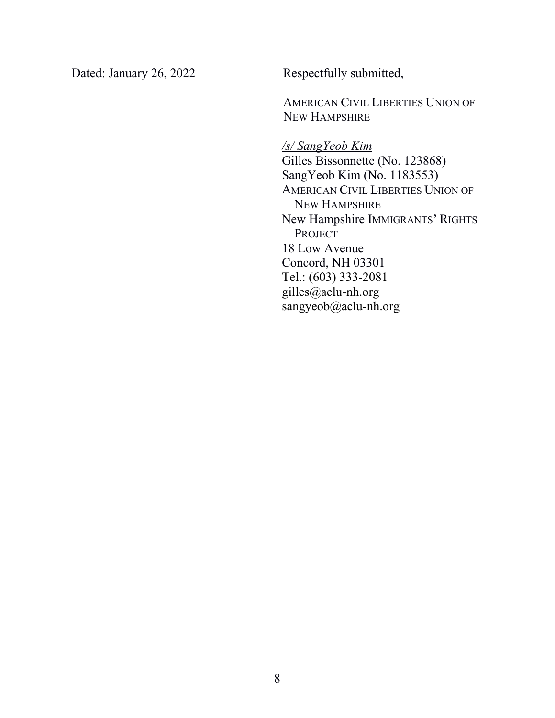Dated: January 26, 2022 Respectfully submitted,

**AMERICAN CIVIL LIBERTIES UNION OF** NEW HAMPSHIRE

*/s/ SangYeob Kim*  Gilles Bissonnette (No. 123868) SangYeob Kim (No. 1183553) AMERICAN CIVIL LIBERTIES UNION OF NEW HAMPSHIRE New Hampshire IMMIGRANTS' RIGHTS PROJECT 18 Low Avenue Concord, NH 03301 Tel.: (603) 333-2081 gilles@aclu-nh.org sangyeob@aclu-nh.org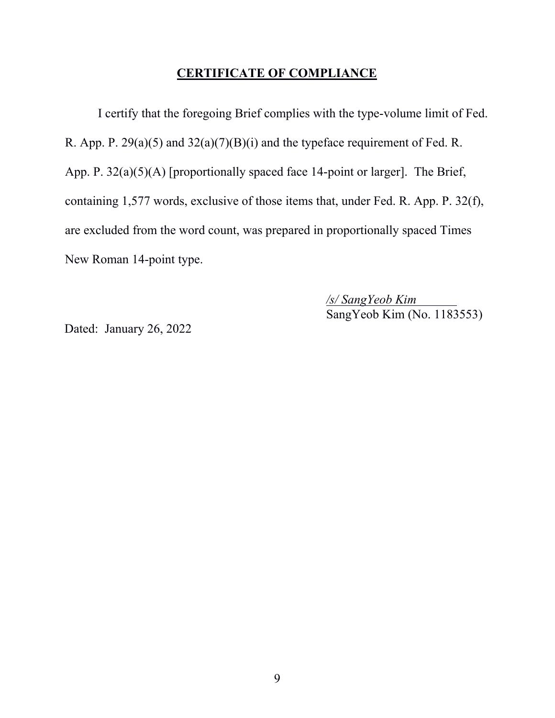# **CERTIFICATE OF COMPLIANCE**

I certify that the foregoing Brief complies with the type-volume limit of Fed. R. App. P. 29(a)(5) and 32(a)(7)(B)(i) and the typeface requirement of Fed. R. App. P. 32(a)(5)(A) [proportionally spaced face 14-point or larger]. The Brief, containing 1,577 words, exclusive of those items that, under Fed. R. App. P. 32(f), are excluded from the word count, was prepared in proportionally spaced Times New Roman 14-point type.

> */s/ SangYeob Kim*  SangYeob Kim (No. 1183553)

Dated: January 26, 2022